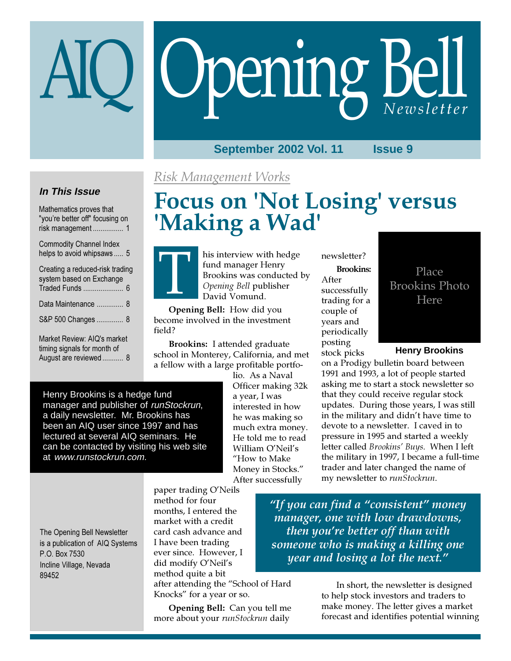# Opening Bell

# **September 2002 Vol. 11 Issue 9**

# **In This Issue**

Mathematics proves that "you're better off" focusing on risk management ................ 1

Commodity Channel Index helps to avoid whipsaws ..... 5

| Creating a reduced-risk trading<br>system based on Exchange                         |
|-------------------------------------------------------------------------------------|
| Data Maintenance  8                                                                 |
| S&P 500 Changes  8                                                                  |
| Market Review: AIQ's market<br>timing signals for month of<br>August are reviewed 8 |

# Risk Management Works

# Focus on 'Not Losing' versus 'Making a Wad'



his interview with hedge fund manager Henry Brookins was conducted by Opening Bell publisher David Vomund.

Opening Bell: How did you become involved in the investment field?

Brookins: I attended graduate school in Monterey, California, and met a fellow with a large profitable portfo-

Henry Brookins is a hedge fund manager and publisher of runStockrun, a daily newsletter. Mr. Brookins has been an AIQ user since 1997 and has lectured at several AIQ seminars. He can be contacted by visiting his web site at www.runstockrun.com.

lio. As a Naval Officer making 32k a year, I was interested in how he was making so much extra money. He told me to read William O'Neil's "How to Make Money in Stocks." After successfully

newsletter?

Brookins: After successfully trading for a couple of years and periodically posting stock picks

# Place Brookins Photo Here

# **Henry Brookins**

on a Prodigy bulletin board between 1991 and 1993, a lot of people started asking me to start a stock newsletter so that they could receive regular stock updates. During those years, I was still in the military and didn't have time to devote to a newsletter. I caved in to pressure in 1995 and started a weekly letter called Brookins' Buys. When I left the military in 1997, I became a full-time trader and later changed the name of my newsletter to runStockrun.

The Opening Bell Newsletter is a publication of AIQ Systems P.O. Box 7530 Incline Village, Nevada 89452

paper trading O'Neils method for four months, I entered the market with a credit card cash advance and I have been trading ever since. However, I did modify O'Neil's method quite a bit after attending the "School of Hard Knocks" for a year or so.

Opening Bell: Can you tell me more about your runStockrun daily

"If you can find a "consistent" money manager, one with low drawdowns, then you're better off than with someone who is making a killing one year and losing a lot the next."

> In short, the newsletter is designed to help stock investors and traders to make money. The letter gives a market forecast and identifies potential winning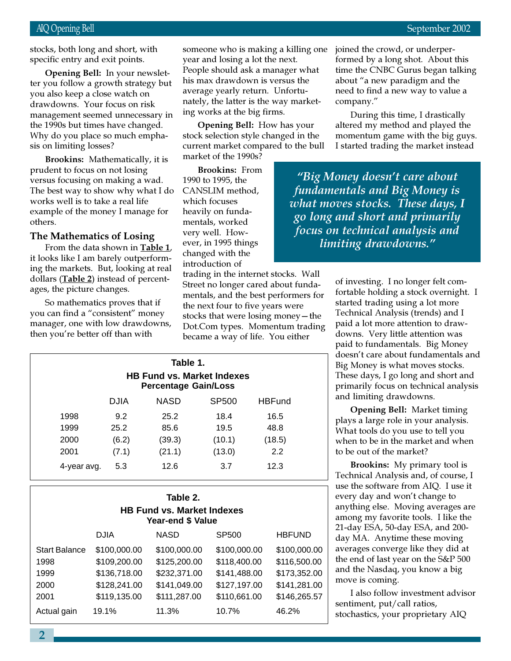stocks, both long and short, with specific entry and exit points.

ter you follow a growth strategy but Opening Bell: In your newsletyou also keep a close watch on drawdowns. Your focus on risk management seemed unnecessary in the 1990s but times have changed. Why do you place so much emphasis on limiting losses?

Brookins: Mathematically, it is prudent to focus on not losing versus focusing on making a wad. The best way to show why what I do works well is to take a real life example of the money I manage for others.

# The Mathematics of Losing

From the data shown in Table 1, it looks like I am barely outperforming the markets. But, looking at real dollars (**Table 2**) instead of percentages, the picture changes.

So mathematics proves that if you can find a "consistent" money manager, one with low drawdowns, then you're better off than with

someone who is making a killing one year and losing a lot the next. People should ask a manager what his max drawdown is versus the average yearly return. Unfortunately, the latter is the way marketing works at the big firms.

Opening Bell: How has your stock selection style changed in the current market compared to the bull market of the 1990s?

Brookins: From 1990 to 1995, the CANSLIM method, which focuses heavily on fundamentals, worked very well. However, in 1995 things changed with the introduction of

trading in the internet stocks. Wall Street no longer cared about fundamentals, and the best performers for the next four to five years were stocks that were losing money—the Dot.Com types. Momentum trading became a way of life. You either

| Table 1.<br><b>HB Fund vs. Market Indexes</b><br><b>Percentage Gain/Loss</b> |             |             |        |               |  |
|------------------------------------------------------------------------------|-------------|-------------|--------|---------------|--|
|                                                                              | <b>DJIA</b> | <b>NASD</b> | SP500  | <b>HBFund</b> |  |
| 1998                                                                         | 9.2         | 25.2        | 18.4   | 16.5          |  |
| 1999                                                                         | 25.2        | 85.6        | 19.5   | 48.8          |  |
| 2000                                                                         | (6.2)       | (39.3)      | (10.1) | (18.5)        |  |
| 2001                                                                         | (7.1)       | (21.1)      | (13.0) | 2.2           |  |
| 4-year avg.                                                                  | 5.3         | 12.6        | 3.7    | 12.3          |  |

| Table 2.<br><b>HB Fund vs. Market Indexes</b><br>Year-end \$ Value |              |              |                   |               |  |  |  |
|--------------------------------------------------------------------|--------------|--------------|-------------------|---------------|--|--|--|
|                                                                    | <b>DJIA</b>  | <b>NASD</b>  | SP <sub>500</sub> | <b>HBFUND</b> |  |  |  |
| <b>Start Balance</b>                                               | \$100,000.00 | \$100,000.00 | \$100,000.00      | \$100,000.00  |  |  |  |
| 1998                                                               | \$109,200.00 | \$125,200.00 | \$118,400.00      | \$116,500.00  |  |  |  |
| 1999                                                               | \$136,718.00 | \$232,371.00 | \$141,488.00      | \$173,352.00  |  |  |  |
| 2000                                                               | \$128,241.00 | \$141,049.00 | \$127,197.00      | \$141,281.00  |  |  |  |
| 2001                                                               | \$119,135.00 | \$111,287.00 | \$110,661.00      | \$146,265.57  |  |  |  |
| Actual gain                                                        | 19.1%        | 11.3%        | 10.7%             | 46.2%         |  |  |  |

joined the crowd, or underperformed by a long shot. About this time the CNBC Gurus began talking about "a new paradigm and the need to find a new way to value a company."

During this time, I drastically altered my method and played the momentum game with the big guys. I started trading the market instead

"Big Money doesn't care about fundamentals and Big Money is what moves stocks. These days, I go long and short and primarily focus on technical analysis and limiting drawdowns."

> of investing. I no longer felt comfortable holding a stock overnight. I started trading using a lot more Technical Analysis (trends) and I paid a lot more attention to drawdowns. Very little attention was paid to fundamentals. Big Money doesn't care about fundamentals and Big Money is what moves stocks. These days, I go long and short and primarily focus on technical analysis and limiting drawdowns.

Opening Bell: Market timing plays a large role in your analysis. What tools do you use to tell you when to be in the market and when to be out of the market?

Brookins: My primary tool is Technical Analysis and, of course, I use the software from AIQ. I use it every day and won't change to anything else. Moving averages are among my favorite tools. I like the 21-day ESA, 50-day ESA, and 200 day MA. Anytime these moving averages converge like they did at the end of last year on the S&P 500 and the Nasdaq, you know a big move is coming.

I also follow investment advisor sentiment, put/call ratios, stochastics, your proprietary AIQ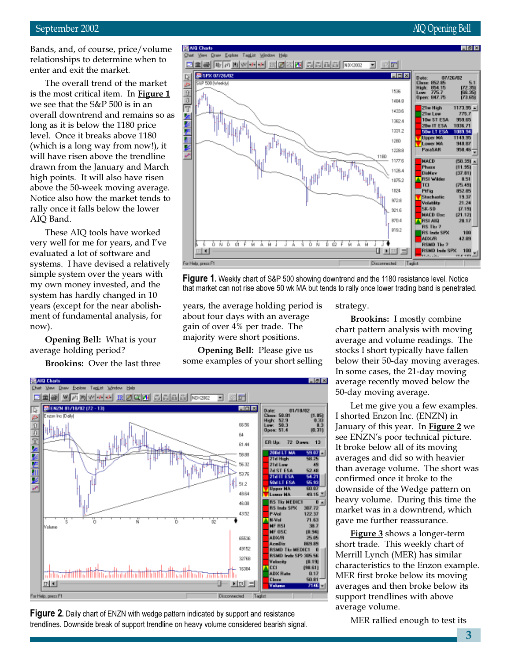### September 2002 AIQ Opening Bell

Bands, and, of course, price/volume relationships to determine when to enter and exit the market.

The overall trend of the market is the most critical item. In Figure 1 we see that the S&P 500 is in an overall downtrend and remains so as long as it is below the 1180 price level. Once it breaks above 1180 (which is a long way from now!), it will have risen above the trendline drawn from the January and March high points. It will also have risen above the 50-week moving average. Notice also how the market tends to rally once it falls below the lower AIQ Band.

These AIQ tools have worked very well for me for years, and I've evaluated a lot of software and systems. I have devised a relatively simple system over the years with my own money invested, and the system has hardly changed in 10 years (except for the near abolishment of fundamental analysis, for now).

Opening Bell: What is your average holding period?

Brookins: Over the last three



**Figure 1.** Weekly chart of S&P 500 showing downtrend and the 1180 resistance level. Notice that market can not rise above 50 wk MA but tends to rally once lower trading band is penetrated.

years, the average holding period is about four days with an average gain of over 4% per trade. The majority were short positions.

Opening Bell: Please give us some examples of your short selling



**Figure 2.** Daily chart of ENZN with wedge pattern indicated by support and resistance trendlines. Downside break of support trendline on heavy volume considered bearish signal. strategy.

Brookins: I mostly combine chart pattern analysis with moving average and volume readings. The stocks I short typically have fallen below their 50-day moving averages. In some cases, the 21-day moving average recently moved below the 50-day moving average.

Let me give you a few examples. I shorted Enzon Inc. (ENZN) in January of this year. In **Figure 2** we see ENZN's poor technical picture. It broke below all of its moving averages and did so with heavier than average volume. The short was confirmed once it broke to the downside of the Wedge pattern on heavy volume. During this time the market was in a downtrend, which gave me further reassurance.

**Figure 3** shows a longer-term short trade. This weekly chart of Merrill Lynch (MER) has similar characteristics to the Enzon example. MER first broke below its moving averages and then broke below its support trendlines with above average volume.

MER rallied enough to test its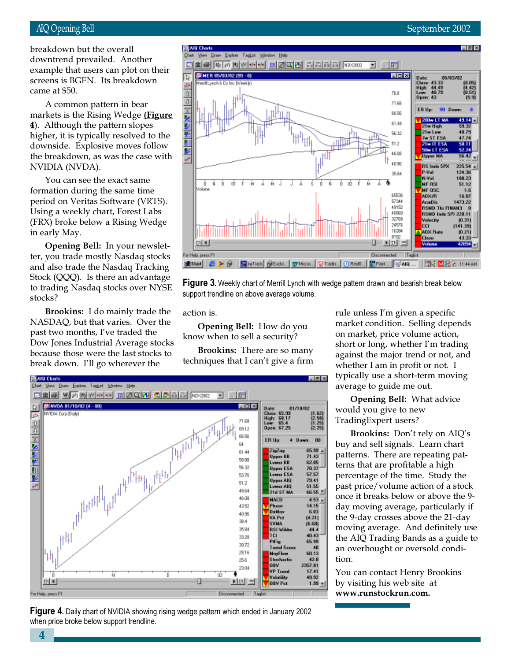# AIQ Opening Bell September 2002

screens is BGEN. Its breakdown breakdown but the overall downtrend prevailed. Another example that users can plot on their came at \$50.

A common pattern in bear markets is the Rising Wedge (Figure 4). Although the pattern slopes higher, it is typically resolved to the downside. Explosive moves follow the breakdown, as was the case with NVIDIA (NVDA).

You can see the exact same formation during the same time period on Veritas Software (VRTS). Using a weekly chart, Forest Labs (FRX) broke below a Rising Wedge in early May.

Opening Bell: In your newsletter, you trade mostly Nasdaq stocks and also trade the Nasdaq Tracking Stock (QQQ). Is there an advantage to trading Nasdaq stocks over NYSE stocks?

Brookins: I do mainly trade the NASDAQ, but that varies. Over the past two months, I've traded the Dow Jones Industrial Average stocks because those were the last stocks to break down. I'll go wherever the





action is.

Opening Bell: How do you know when to sell a security?

Brookins: There are so many techniques that I can't give a firm



Figure 4. Daily chart of NVIDIA showing rising wedge pattern which ended in January 2002 when price broke below support trendline.

rule unless I'm given a specific market condition. Selling depends on market, price volume action, short or long, whether I'm trading against the major trend or not, and whether I am in profit or not. I typically use a short-term moving average to guide me out.

Opening Bell: What advice would you give to new TradingExpert users?

Brookins: Don't rely on AIQ's buy and sell signals. Learn chart patterns. There are repeating patterns that are profitable a high percentage of the time. Study the past price/volume action of a stock once it breaks below or above the 9 day moving average, particularly if the 9-day crosses above the 21-day moving average. And definitely use the AIQ Trading Bands as a guide to an overbought or oversold condition.

You can contact Henry Brookins by visiting his web site at www.runstockrun.com.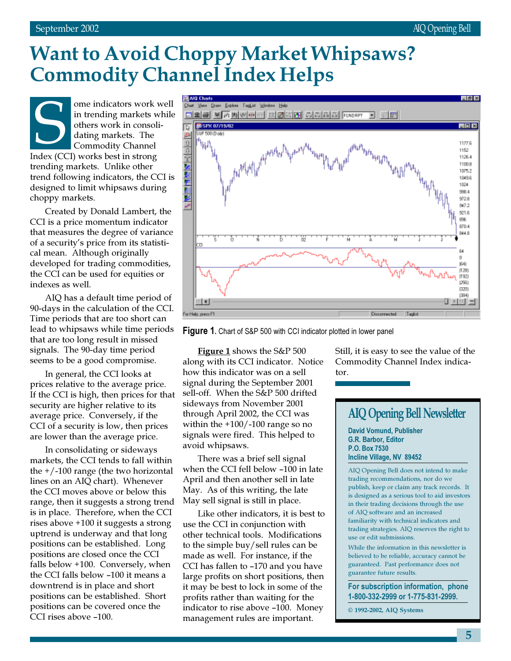# Want to Avoid Choppy Market Whipsaws? Commodity Channel Index Helps

ome indicators work well in trending markets while others work in consolidating markets. The Commodity Channel In trending markets vork<br>
in trending markets vorks in consol<br>
dating markets. The<br>
Commodity Channel<br>
Index (CCI) works best in strong trending markets. Unlike other trend following indicators, the CCI is designed to limit whipsaws during choppy markets.

cal mean. Although originally<br>developed for trading commod<br>the CCI can be used for equitie<br>indexes as well.<br>AIQ has a default time per Created by Donald Lambert, the CCI is a price momentum indicator that measures the degree of variance of a security's price from its statistideveloped for trading commodities, the CCI can be used for equities or indexes as well.

AIQ has a default time period of 90-days in the calculation of the CCI. Time periods that are too short can lead to whipsaws while time periods that are too long result in missed signals. The 90-day time period seems to be a good compromise.

In general, the CCI looks at prices relative to the average price. If the CCI is high, then prices for that security are higher relative to its average price. Conversely, if the CCI of a security is low, then prices are lower than the average price.

In consolidating or sideways markets, the CCI tends to fall within the +/-100 range (the two horizontal lines on an AIQ chart). Whenever the CCI moves above or below this range, then it suggests a strong trend is in place. Therefore, when the CCI rises above +100 it suggests a strong uptrend is underway and that long positions can be established. Long positions are closed once the CCI falls below +100. Conversely, when the CCI falls below –100 it means a downtrend is in place and short positions can be established. Short positions can be covered once the CCI rises above –100.



**Figure 1.** Chart of S&P 500 with CCI indicator plotted in lower panel

Figure 1 shows the S&P 500 along with its CCI indicator. Notice how this indicator was on a sell signal during the September 2001 sell-off. When the S&P 500 drifted sideways from November 2001 through April 2002, the CCI was within the +100/-100 range so no signals were fired. This helped to avoid whipsaws.

There was a brief sell signal when the CCI fell below –100 in late April and then another sell in late May. As of this writing, the late May sell signal is still in place.

Like other indicators, it is best to use the CCI in conjunction with other technical tools. Modifications to the simple buy/sell rules can be made as well. For instance, if the CCI has fallen to –170 and you have large profits on short positions, then it may be best to lock in some of the profits rather than waiting for the indicator to rise above –100. Money management rules are important.

Still, it is easy to see the value of the Commodity Channel Index indicator.

# AIQ Opening Bell Newsletter

David Vomund, Publisher G.R. Barbor, Editor P.O. Box 7530 Incline Village, NV 89452

AIQ Opening Bell does not intend to make trading recommendations, nor do we publish, keep or claim any track records. It is designed as a serious tool to aid investors in their trading decisions through the use of AIQ software and an increased familiarity with technical indicators and trading strategies. AIQ reserves the right to use or edit submissions.

While the information in this newsletter is believed to be reliable, accuracy cannot be guaranteed. Past performance does not guarantee future results.

For subscription information, phone 1-800-332-2999 or 1-775-831-2999.

© 1992-2002, AIQ Systems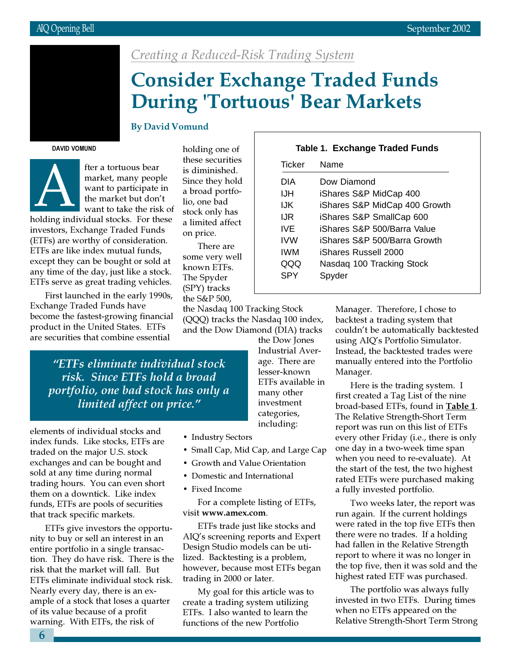

# Creating a Reduced-Risk Trading System

# Consider Exchange Traded Funds During 'Tortuous' Bear Markets

# By David Vomund

DAVID VOMUND



fter a tortuous bear market, many people want to participate in the market but don't want to take the risk of holding individual stocks. For these

investors, Exchange Traded Funds (ETFs) are worthy of consideration. ETFs are like index mutual funds, except they can be bought or sold at any time of the day, just like a stock. ETFs serve as great trading vehicles.

First launched in the early 1990s, Exchange Traded Funds have become the fastest-growing financial product in the United States. ETFs are securities that combine essential

holding one of these securities is diminished. Since they hold a broad portfolio, one bad stock only has a limited affect on price.

There are some very well known ETFs. The Spyder (SPY) tracks the S&P 500,

| <b>Table 1. Exchange Traded Funds</b> |                               |  |  |  |  |
|---------------------------------------|-------------------------------|--|--|--|--|
| Ticker                                | Name                          |  |  |  |  |
| DIA                                   | Dow Diamond                   |  |  |  |  |
| IJH                                   | iShares S&P MidCap 400        |  |  |  |  |
| IJK                                   | iShares S&P MidCap 400 Growth |  |  |  |  |
| IJR                                   | iShares S&P SmallCap 600      |  |  |  |  |
| IVF                                   | iShares S&P 500/Barra Value   |  |  |  |  |
| IVW                                   | iShares S&P 500/Barra Growth  |  |  |  |  |
| IWM                                   | iShares Russell 2000          |  |  |  |  |
| QQQ                                   | Nasdag 100 Tracking Stock     |  |  |  |  |
| SPY                                   | Spyder                        |  |  |  |  |
|                                       |                               |  |  |  |  |

the Nasdaq 100 Tracking Stock (QQQ) tracks the Nasdaq 100 index, and the Dow Diamond (DIA) tracks

"ETFs eliminate individual stock risk. Since ETFs hold a broad portfolio, one bad stock has only a limited affect on price."

elements of individual stocks and index funds. Like stocks, ETFs are traded on the major U.S. stock exchanges and can be bought and sold at any time during normal trading hours. You can even short them on a downtick. Like index funds, ETFs are pools of securities that track specific markets.

ETFs give investors the opportunity to buy or sell an interest in an entire portfolio in a single transaction. They do have risk. There is the risk that the market will fall. But ETFs eliminate individual stock risk. Nearly every day, there is an example of a stock that loses a quarter of its value because of a profit warning. With ETFs, the risk of

the Dow Jones Industrial Average. There are lesser-known ETFs available in many other investment categories, including:

- Industry Sectors
- Small Cap, Mid Cap, and Large Cap
- Growth and Value Orientation
- Domestic and International
- Fixed Income

For a complete listing of ETFs, visit www.amex.com.

ETFs trade just like stocks and AIQ's screening reports and Expert Design Studio models can be utilized. Backtesting is a problem, however, because most ETFs began trading in 2000 or later.

My goal for this article was to create a trading system utilizing ETFs. I also wanted to learn the functions of the new Portfolio

Manager. Therefore, I chose to backtest a trading system that couldn't be automatically backtested using AIQ's Portfolio Simulator. Instead, the backtested trades were manually entered into the Portfolio Manager.

Here is the trading system. I first created a Tag List of the nine broad-based ETFs, found in Table 1. The Relative Strength-Short Term report was run on this list of ETFs every other Friday (i.e., there is only one day in a two-week time span when you need to re-evaluate). At the start of the test, the two highest rated ETFs were purchased making a fully invested portfolio.

Two weeks later, the report was run again. If the current holdings were rated in the top five ETFs then there were no trades. If a holding had fallen in the Relative Strength report to where it was no longer in the top five, then it was sold and the highest rated ETF was purchased.

The portfolio was always fully invested in two ETFs. During times when no ETFs appeared on the Relative Strength-Short Term Strong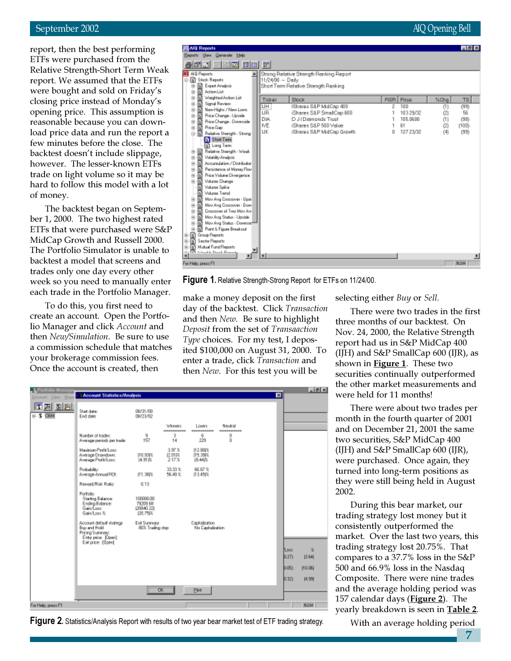### September 2002 **AIQ Opening Bell**

report, then the best performing ETFs were purchased from the Relative Strength-Short Term Weak report. We assumed that the ETFs were bought and sold on Friday's closing price instead of Monday's opening price. This assumption is reasonable because you can download price data and run the report a few minutes before the close. The backtest doesn't include slippage, however. The lesser-known ETFs trade on light volume so it may be hard to follow this model with a lot of money.

The backtest began on September 1, 2000. The two highest rated ETFs that were purchased were S&P MidCap Growth and Russell 2000. The Portfolio Simulator is unable to backtest a model that screens and trades only one day every other week so you need to manually enter each trade in the Portfolio Manager.

To do this, you first need to create an account. Open the Portfolio Manager and click Account and then New/Simulation. Be sure to use a commission schedule that matches your brokerage commission fees. Once the account is created, then

| AIG Reports                                                                                                                                                                                                                                                                                                                                                                                                                                                                                                                                                                                                                                                                                                                                                                                                                                                                                                       |                                                                |                                                                                                                                                                                                                                |                      |                                                          |                                        | $-8x$                                                 |
|-------------------------------------------------------------------------------------------------------------------------------------------------------------------------------------------------------------------------------------------------------------------------------------------------------------------------------------------------------------------------------------------------------------------------------------------------------------------------------------------------------------------------------------------------------------------------------------------------------------------------------------------------------------------------------------------------------------------------------------------------------------------------------------------------------------------------------------------------------------------------------------------------------------------|----------------------------------------------------------------|--------------------------------------------------------------------------------------------------------------------------------------------------------------------------------------------------------------------------------|----------------------|----------------------------------------------------------|----------------------------------------|-------------------------------------------------------|
| Bepatz Yeve Generate Help                                                                                                                                                                                                                                                                                                                                                                                                                                                                                                                                                                                                                                                                                                                                                                                                                                                                                         |                                                                |                                                                                                                                                                                                                                |                      |                                                          |                                        |                                                       |
| 866 ESC 00 F                                                                                                                                                                                                                                                                                                                                                                                                                                                                                                                                                                                                                                                                                                                                                                                                                                                                                                      |                                                                |                                                                                                                                                                                                                                |                      |                                                          |                                        |                                                       |
| MP AID Reports<br>Stack Reports<br>Ė<br><b>III</b> Expert Analysis<br>宙<br>Action List<br>宙<br>囨<br>Weighted Action List<br>串<br>Signal Review<br>m<br>宙<br>New Highs / New Lowe<br>m<br>宙<br>Price Change - Upside<br>宙<br>m<br>m<br>Price Change - Downside<br>宙<br>m<br>Price Gap<br>宙<br>Relative Stampth - Strong<br>曺<br>m<br><b>N</b> Shot Tem<br><b>In Long Term</b><br>Relative Strength - Weak.<br>田<br>m<br>Volatility Analysis<br>串<br>Accumulation / Distribution<br>m<br>宙<br>Perzistence of Money Floy<br>宙<br>м<br>Price Volume Divergence<br>m<br>宙<br><b>Volume Change</b><br>审<br>Valume Spike<br><b>Volume Trend</b><br>May Avig Eroczower - Upak<br>串<br>May Avg Erocsover - Dow<br>串<br>m<br>Cropspyer of Two May Aye<br>串<br>May Avg Status - Upride<br>m<br>宙<br>May Avig Status - Dovessie<br>由<br>Point & Figure Breakout<br>宙<br>Group Reports<br>佰<br>由<br>由<br><b>Sector Reports</b> | 11/24/00 - Daily<br>Ticker<br>IJН<br>IJR.<br>DIA.<br>MΕ<br>UK. | Strong Relative Strength Planking Report<br>Short Term Pielative Strength Ranking<br>Stock<br>IShares S&P MidCap 400<br>iShares S&P SmallCap 800<br>D J I Diamonds Trust<br>iShares S&P 500 Value<br>iShares S&P MidCap Growth | <b>RSR</b><br>Σ<br>D | Price<br>100<br>103 29/32<br>105,0600<br>81<br>127 23/32 | $XChq$<br>(I)<br>Ø<br>(1)<br>œ,<br>(4) | T <sub>B</sub><br>(99)<br>56<br>(9B)<br>(100)<br>(95) |
| Mutual Fund Reports<br>由<br><b>In Allenable Stands Dommar</b><br>ä<br>$\mathbf{F}$<br>For Help, press F1                                                                                                                                                                                                                                                                                                                                                                                                                                                                                                                                                                                                                                                                                                                                                                                                          |                                                                |                                                                                                                                                                                                                                |                      |                                                          |                                        | NUM                                                   |
|                                                                                                                                                                                                                                                                                                                                                                                                                                                                                                                                                                                                                                                                                                                                                                                                                                                                                                                   |                                                                |                                                                                                                                                                                                                                |                      |                                                          |                                        |                                                       |

Figure 1. Relative Strength-Strong Report for ETFs on 11/24/00.

make a money deposit on the first day of the backtest. Click Transaction and then New. Be sure to highlight Deposit from the set of Transaaction Type choices. For my test, I deposited \$100,000 on August 31, 2000. To enter a trade, click Transaction and then New. For this test you will be

selecting either Buy or Sell.

There were two trades in the first three months of our backtest. On Nov. 24, 2000, the Relative Strength report had us in S&P MidCap 400 (IJH) and S&P SmallCap 600 (IJR), as shown in **Figure 1**. These two securities continually outperformed the other market measurements and were held for 11 months!

There were about two trades per month in the fourth quarter of 2001 and on December 21, 2001 the same two securities, S&P MidCap 400 (IJH) and S&P SmallCap 600 (IJR), were purchased. Once again, they turned into long-term positions as they were still being held in August 2002.

During this bear market, our trading strategy lost money but it consistently outperformed the market. Over the last two years, this trading strategy lost 20.75%. That compares to a 37.7% loss in the S&P 500 and 66.9% loss in the Nasdaq Composite. There were nine trades and the average holding period was 157 calendar days (**Figure 2**). The yearly breakdown is seen in **Table 2**.

| Pertfolio Manager<br>Account View Repo | -3 Account Statistics/Analysis                                                                        |                                                 |                              |                                     |                       | 図 |               | $-10x$             |
|----------------------------------------|-------------------------------------------------------------------------------------------------------|-------------------------------------------------|------------------------------|-------------------------------------|-----------------------|---|---------------|--------------------|
| <b>BBB</b><br>$H-S$ OBM                | Start date:<br><b>End date:</b>                                                                       | 08/31/00<br>DB/23/D2                            |                              |                                     |                       |   |               |                    |
|                                        |                                                                                                       |                                                 | <b>Winners</b><br>---------- | Losers<br>----------                | Neuaral<br>---------- |   |               |                    |
|                                        | Number of trades:<br>Average periods per trade:                                                       | э<br>157                                        | 3<br>14                      | 6<br>229                            | D<br>Ď                |   |               |                    |
|                                        | Maximum Profit/Long<br>Average Drawdown:<br>Average Profit/Loco                                       | 110.931%<br>14.91 亩                             | 3.97 %<br>12.011%<br>217x    | 11.2.80(%<br>15.39 %<br>B.44ft      |                       |   |               |                    |
|                                        | Probability:<br>Average Annual ROI:                                                                   | 111.381%                                        | 33.93 %<br>56.49 %           | 66.67 %<br>113,457%                 |                       |   |               |                    |
|                                        | Reward/Risk Ratio:                                                                                    | 0.13                                            |                              |                                     |                       |   |               |                    |
|                                        | Portfolio:<br><b>Starfing Balance:</b><br>Ending Balance:<br>Gain/Lonn<br>Gain/Loss た                 | 100000.00<br>79209.68<br>(20840.22)<br>120.754% |                              |                                     |                       |   |               |                    |
|                                        | Account default stategy.<br>Buy and Hold<br>Pricing Summers:<br>Enty pior [Open]<br>Est price: [Upen] | Exit Sunmary:<br>apts grilling 1508             |                              | Eapitalization<br>No Capitalization |                       |   |               |                    |
|                                        |                                                                                                       |                                                 |                              |                                     |                       |   | Loss<br>0.27) | 女<br><b>13.641</b> |
|                                        |                                                                                                       |                                                 |                              |                                     |                       |   | 0.051         | 110.061            |
|                                        |                                                                                                       |                                                 |                              |                                     |                       |   | 0.321         | 14.991             |
|                                        |                                                                                                       |                                                 | OK                           | <b>Pirk</b>                         |                       |   |               |                    |
| For Help, press F1                     |                                                                                                       |                                                 |                              |                                     |                       |   |               | NUM                |

Figure 2. Statistics/Analysis Report with results of two year bear market test of ETF trading strategy. With an average holding period

7